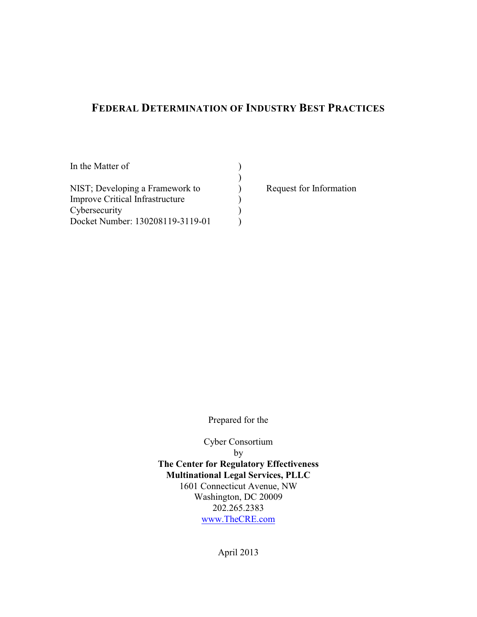# **FEDERAL DETERMINATION OF INDUSTRY BESTPRACTICES**

| In the Matter of                       |  |
|----------------------------------------|--|
|                                        |  |
| NIST; Developing a Framework to        |  |
| <b>Improve Critical Infrastructure</b> |  |
| Cybersecurity                          |  |
| Docket Number: 130208119-3119-01       |  |

Request for Information

Prepared for the

Cyber Consortium by **The Center for Regulatory Effectiveness Multinational Legal Services, PLLC** 1601 Connecticut Avenue, NW Washington, DC 20009 202.265.2383 [www.TheCRE.com](http://www.TheCRE.com)

April 2013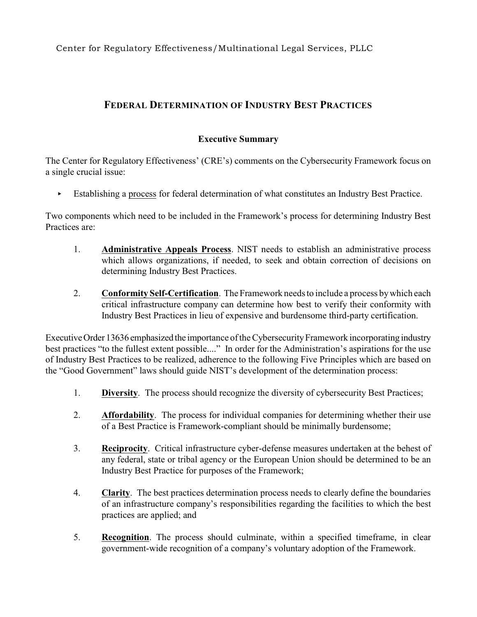## **FEDERAL DETERMINATION OF INDUSTRY BEST PRACTICES**

#### **Executive Summary**

The Center for Regulatory Effectiveness' (CRE's) comments on the Cybersecurity Framework focus on a single crucial issue:

� Establishing a process for federal determination of what constitutes an Industry Best Practice.

Two components which need to be included in the Framework's process for determining Industry Best Practices are:

- 1. **Administrative Appeals Process**. NIST needs to establish an administrative process which allows organizations, if needed, to seek and obtain correction of decisions on determining Industry Best Practices.
- 2. **Conformity Self-Certification**. The Framework needs to include a process by which each critical infrastructure company can determine how best to verify their conformity with Industry Best Practices in lieu of expensive and burdensome third-party certification.

Executive Order 13636 emphasized the importance of the Cybersecurity Framework incorporating industry best practices "to the fullest extent possible...." In order for the Administration's aspirations for the use of Industry Best Practices to be realized, adherence to the following Five Principles which are based on the "Good Government" laws should guide NIST's development of the determination process:

- 1. **Diversity**. The process should recognize the diversity of cybersecurity Best Practices;
- 2. **Affordability**. The process for individual companies for determining whether their use of a Best Practice is Framework-compliant should be minimally burdensome;
- 3. **Reciprocity**. Critical infrastructure cyber-defense measures undertaken at the behest of any federal, state or tribal agency or the European Union should be determined to be an Industry Best Practice for purposes of the Framework;
- 4. Clarity. The best practices determination process needs to clearly define the boundaries of an infrastructure company's responsibilities regarding the facilities to which the best practices are applied; and
- 5. **Recognition**. The process should culminate, within a specified timeframe, in clear government-wide recognition of a company's voluntary adoption of the Framework.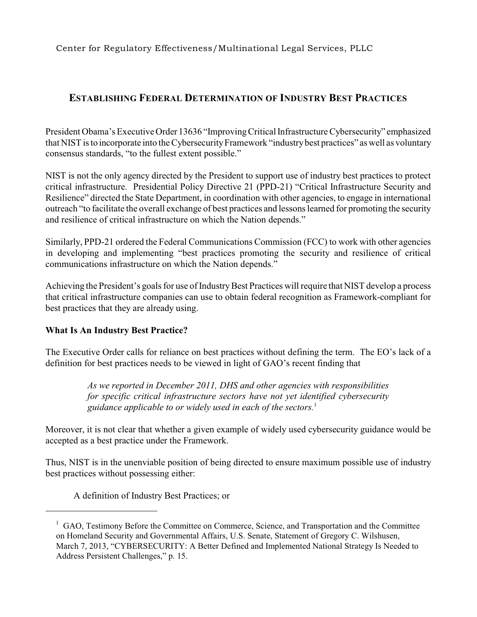## **ESTABLISHING FEDERAL DETERMINATION OF INDUSTRY BEST PRACTICES**

President Obama's Executive Order 13636 "Improving Critical Infrastructure Cybersecurity" emphasized that NIST is to incorporate into the Cybersecurity Framework "industry best practices" as well as voluntary consensus standards, "to the fullest extent possible."

 NIST is not the only agency directed by the President to support use of industry best practices to protect critical infrastructure. Presidential Policy Directive 21 (PPD-21) "Critical Infrastructure Security and Resilience" directed the State Department, in coordination with other agencies, to engage in international outreach "to facilitate the overall exchange of best practices and lessons learned for promoting the security and resilience of critical infrastructure on which the Nation depends."

Similarly, PPD-21 ordered the Federal Communications Commission (FCC) to work with other agencies in developing and implementing "best practices promoting the security and resilience of critical communications infrastructure on which the Nation depends."

Achieving the President's goals for use of Industry Best Practices will require that NIST develop a process that critical infrastructure companies can use to obtain federal recognition as Framework-compliant for best practices that they are already using.

#### **What Is An Industry Best Practice?**

 The Executive Order calls for reliance on best practices without defining the term. The EO's lack of a definition for best practices needs to be viewed in light of GAO's recent finding that

> *As we reported in December 2011, DHS and other agencies with responsibilities for specific critical infrastructure sectors have not yet identified cybersecurity guidance applicable to or widely used in each of the sectors.*<sup>1</sup>

 Moreover, it is not clear that whether a given example of widely used cybersecurity guidance would be accepted as a best practice under the Framework.

Thus, NIST is in the unenviable position of being directed to ensure maximum possible use of industry best practices without possessing either:

A definition of Industry Best Practices; or

<sup>&</sup>lt;sup>1</sup> GAO, Testimony Before the Committee on Commerce, Science, and Transportation and the Committee on Homeland Security and Governmental Affairs, U.S. Senate, Statement of Gregory C. Wilshusen, March 7, 2013, "CYBERSECURITY: A Better Defined and Implemented National Strategy Is Needed to Address Persistent Challenges," p. 15.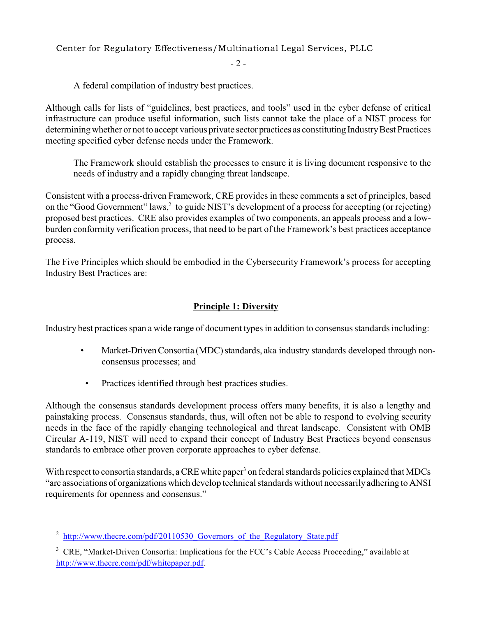$-2 -$ 

A federal compilation of industry best practices.

determining whether or not to accept various private sector practices as constituting Industry Best Practices Although calls for lists of "guidelines, best practices, and tools" used in the cyber defense of critical infrastructure can produce useful information, such lists cannot take the place of a NIST process for meeting specified cyber defense needs under the Framework.

 � The Framework should establish the processes to ensure it is living document responsive to the needs of industry and a rapidly changing threat landscape.

on the "Good Government" laws,<sup>2</sup> to guide NIST's development of a process for accepting (or rejecting) Consistent with a process-driven Framework, CRE provides in these comments a set of principles, based proposed best practices. CRE also provides examples of two components, an appeals process and a lowburden conformity verification process, that need to be part of the Framework's best practices acceptance process.

The Five Principles which should be embodied in the Cybersecurity Framework's process for accepting Industry Best Practices are:

## **Principle 1: Diversity**

Industry best practices span a wide range of document types in addition to consensus standards including:

- Market-Driven Consortia (MDC) standards, aka industry standards developed through nonconsensus processes; and
- Practices identified through best practices studies.

 painstaking process. Consensus standards, thus, will often not be able to respond to evolving security Although the consensus standards development process offers many benefits, it is also a lengthy and needs in the face of the rapidly changing technological and threat landscape. Consistent with OMB Circular A-119, NIST will need to expand their concept of Industry Best Practices beyond consensus standards to embrace other proven corporate approaches to cyber defense.

With respect to consortia standards, a CRE white paper<sup>3</sup> on federal standards policies explained that MDCs "are associations of organizations which develop technical standards without necessarilyadhering to ANSI requirements for openness and consensus."

<sup>&</sup>lt;sup>2</sup> http://www.thecre.com/pdf/20110530 Governors of the Regulatory State.pdf

<sup>&</sup>lt;sup>3</sup> CRE, "Market-Driven Consortia: Implications for the FCC's Cable Access Proceeding," available at <http://www.thecre.com/pdf/whitepaper.pdf>.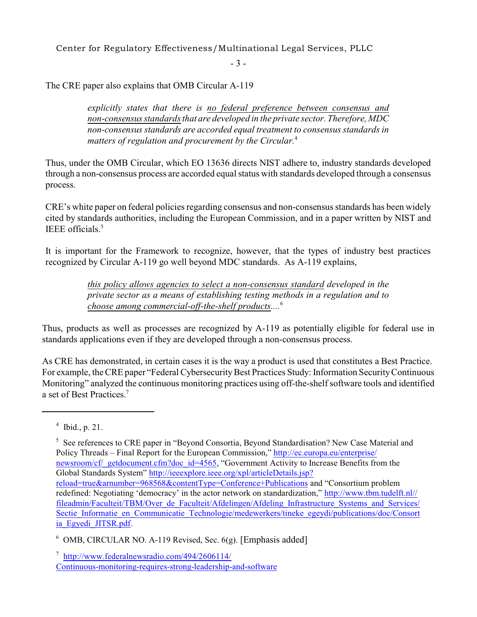$-3 -$ 

The CRE paper also explains that OMB Circular A-119

*explicitly states that there is no federal preference between consensus and non-consensus standards that are developed in the private sector. Therefore, MDC non-consensus standards are accorded equal treatment to consensus standards in matters of regulation and procurement by the Circular.*<sup>4</sup>

Thus, under the OMB Circular, which EO 13636 directs NIST adhere to, industry standards developed through a non-consensus process are accorded equal status with standards developed through a consensus process.

CRE's white paper on federal policies regarding consensus and non-consensus standards has been widely cited by standards authorities, including the European Commission, and in a paper written by NIST and IEEE officials.5

 It is important for the Framework to recognize, however, that the types of industry best practices recognized by Circular A-119 go well beyond MDC standards. As A-119 explains,

> *this policy allows agencies to select a non-consensus standard developed in the private sector as a means of establishing testing methods in a regulation and to choose among commercial-off-the-shelf products....*<sup>6</sup>

 Thus, products as well as processes are recognized by A-119 as potentially eligible for federal use in standards applications even if they are developed through a non-consensus process.

a set of Best Practices.<sup>7</sup> As CRE has demonstrated, in certain cases it is the way a product is used that constitutes a Best Practice. For example, the CRE paper "Federal Cybersecurity Best Practices Study: Information Security Continuous Monitoring" analyzed the continuous monitoring practices using off-the-shelf software tools and identified

 $4$  Ibid., p. 21.

<sup>5</sup> See references to CRE paper in "Beyond Consortia, Beyond Standardisation? New Case Material and Policy Threads – Final Report for the European Commission," [http://ec.europa.eu/enterprise/](http://ec.europa.eu/enterprise/newsroom/cf/_getdocument.cfm?doc_id=4565) [newsroom/cf/\\_getdocument.cfm?doc\\_id=4565](http://ec.europa.eu/enterprise/newsroom/cf/_getdocument.cfm?doc_id=4565), "Government Activity to Increase Benefits from the Global Standards System" [http://ieeexplore.ieee.org/xpl/articleDetails.jsp?](http://ieeexplore.ieee.org/xpl/articleDetails.jsp?reload=true&arnumber=968568&contentType=Conference+Publications) [reload=true&arnumber=968568&contentType=Conference+Publications](http://ieeexplore.ieee.org/xpl/articleDetails.jsp?reload=true&arnumber=968568&contentType=Conference+Publications) and "Consortium problem redefined: Negotiating 'democracy' in the actor network on standardization," [http://www.tbm.tudelft.nl//](http://www.tbm.tudelft.nl/fileadmin/Faculteit/TBM/Over_de_Faculteit/Afdelingen/Afdeling_Infrastructure_Systems_and_Services/Sectie_Informatie_en_Communicatie_Technologie/medewerkers/tineke_egeydi/publications/doc/Consortia_Egyedi_JITSR.pdf)  [fileadmin/Faculteit/TBM/Over\\_de\\_Faculteit/Afdelingen/Afdeling\\_Infrastructure\\_Systems\\_and\\_Services/](http://www.tbm.tudelft.nl/fileadmin/Faculteit/TBM/Over_de_Faculteit/Afdelingen/Afdeling_Infrastructure_Systems_and_Services/Sectie_Informatie_en_Communicatie_Technologie/medewerkers/tineke_egeydi/publications/doc/Consortia_Egyedi_JITSR.pdf) [Sectie\\_Informatie\\_en\\_Communicatie\\_Technologie/medewerkers/tineke\\_egeydi/publications/doc/Consort](http://www.tbm.tudelft.nl/fileadmin/Faculteit/TBM/Over_de_Faculteit/Afdelingen/Afdeling_Infrastructure_Systems_and_Services/Sectie_Informatie_en_Communicatie_Technologie/medewerkers/tineke_egeydi/publications/doc/Consortia_Egyedi_JITSR.pdf) [ia\\_Egyedi\\_JITSR.pdf](http://www.tbm.tudelft.nl/fileadmin/Faculteit/TBM/Over_de_Faculteit/Afdelingen/Afdeling_Infrastructure_Systems_and_Services/Sectie_Informatie_en_Communicatie_Technologie/medewerkers/tineke_egeydi/publications/doc/Consortia_Egyedi_JITSR.pdf).

 $6$  OMB, CIRCULAR NO. A-119 Revised, Sec. 6(g). [Emphasis added]

<sup>7</sup> [http://www.federalnewsradio.com/494/2606114/](http://www.federalnewsradio.com/494/2606114/Continuous-monitoring-requires-strong-leadership-and-software) [Continuous-monitoring-requires-strong-leadership-and-software](http://www.federalnewsradio.com/494/2606114/Continuous-monitoring-requires-strong-leadership-and-software)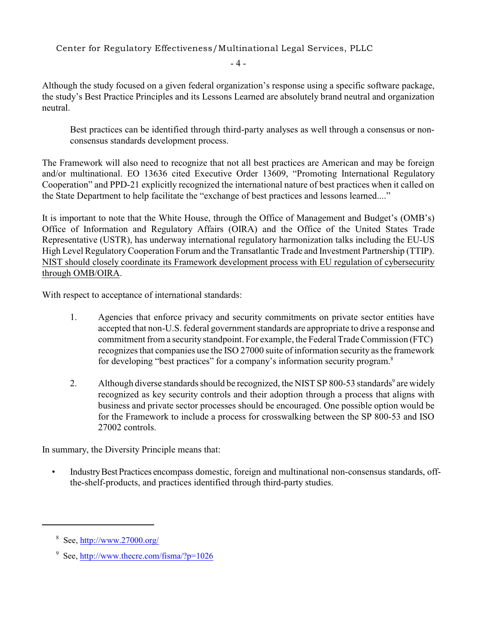$-4-$ 

 the study's Best Practice Principles and its Lessons Learned are absolutely brand neutral and organization Although the study focused on a given federal organization's response using a specific software package, neutral.

Best practices can be identified through third-party analyses as well through a consensus or nonconsensus standards development process.

The Framework will also need to recognize that not all best practices are American and may be foreign and/or multinational. EO 13636 cited Executive Order 13609, "Promoting International Regulatory Cooperation" and PPD-21 explicitly recognized the international nature of best practices when it called on the State Department to help facilitate the "exchange of best practices and lessons learned...."

It is important to note that the White House, through the Office of Management and Budget's (OMB's) Office of Information and Regulatory Affairs (OIRA) and the Office of the United States Trade Representative (USTR), has underway international regulatory harmonization talks including the EU-US High Level Regulatory Cooperation Forum and the Transatlantic Trade and Investment Partnership (TTIP). NIST should closely coordinate its Framework development process with EU regulation of cybersecurity through OMB/OIRA.

With respect to acceptance of international standards:

- 1. Agencies that enforce privacy and security commitments on private sector entities have accepted that non-U.S. federal government standards are appropriate to drive a response and commitment from a security standpoint. For example, the Federal Trade Commission (FTC) recognizes that companies use the ISO 27000 suite of information security as the framework for developing "best practices" for a company's information security program.<sup>8</sup>
- 2. Although diverse standards should be recognized, the NIST SP 800-53 standards<sup>9</sup> are widely recognized as key security controls and their adoption through a process that aligns with business and private sector processes should be encouraged. One possible option would be for the Framework to include a process for crosswalking between the SP 800-53 and ISO 27002 controls.

In summary, the Diversity Principle means that:

• Industry Best Practices encompass domestic, foreign and multinational non-consensus standards, offthe-shelf-products, and practices identified through third-party studies.

 $8$  See,<http://www.27000.org/>

<sup>&</sup>lt;sup>9</sup> See,<http://www.thecre.com/fisma/?p=1026>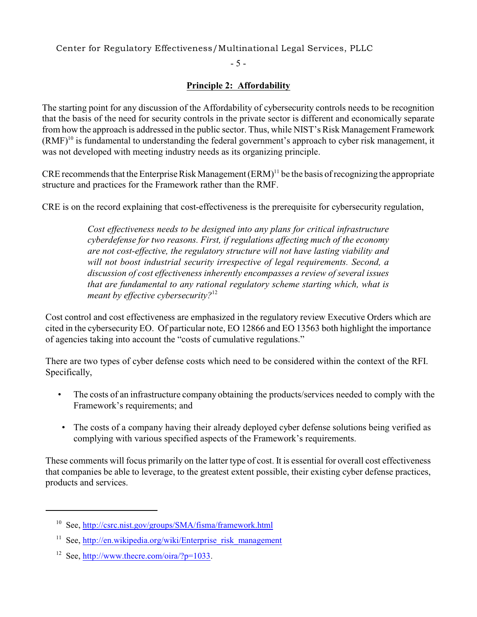$-5 -$ 

## **Principle 2: Affordability**

The starting point for any discussion of the Affordability of cybersecurity controls needs to be recognition that the basis of the need for security controls in the private sector is different and economically separate from how the approach is addressed in the public sector. Thus, while NIST's Risk Management Framework (RMF)10 is fundamental to understanding the federal government's approach to cyber risk management, it was not developed with meeting industry needs as its organizing principle.

CRE recommends that the Enterprise Risk Management  $(ERM)^{11}$  be the basis of recognizing the appropriate structure and practices for the Framework rather than the RMF.

CRE is on the record explaining that cost-effectiveness is the prerequisite for cybersecurity regulation,

 *will not boost industrial security irrespective of legal requirements. Second, a Cost effectiveness needs to be designed into any plans for critical infrastructure cyberdefense for two reasons. First, if regulations affecting much of the economy are not cost-effective, the regulatory structure will not have lasting viability and discussion of cost effectiveness inherently encompasses a review of several issues that are fundamental to any rational regulatory scheme starting which, what is meant by effective cybersecurity?*<sup>12</sup>

 cited in the cybersecurity EO. Of particular note, EO 12866 and EO 13563 both highlight the importance Cost control and cost effectiveness are emphasized in the regulatory review Executive Orders which are of agencies taking into account the "costs of cumulative regulations."

There are two types of cyber defense costs which need to be considered within the context of the RFI. Specifically,

- The costs of an infrastructure company obtaining the products/services needed to comply with the Framework's requirements; and
- The costs of a company having their already deployed cyber defense solutions being verified as complying with various specified aspects of the Framework's requirements.

These comments will focus primarily on the latter type of cost. It is essential for overall cost effectiveness that companies be able to leverage, to the greatest extent possible, their existing cyber defense practices, products and services.

<sup>&</sup>lt;sup>10</sup> See,<http://csrc.nist.gov/groups/SMA/fisma/framework.html>

<sup>&</sup>lt;sup>11</sup> See, http://en.wikipedia.org/wiki/Enterprise risk management

<sup>&</sup>lt;sup>12</sup> See,<http://www.thecre.com/oira/?p=1033>.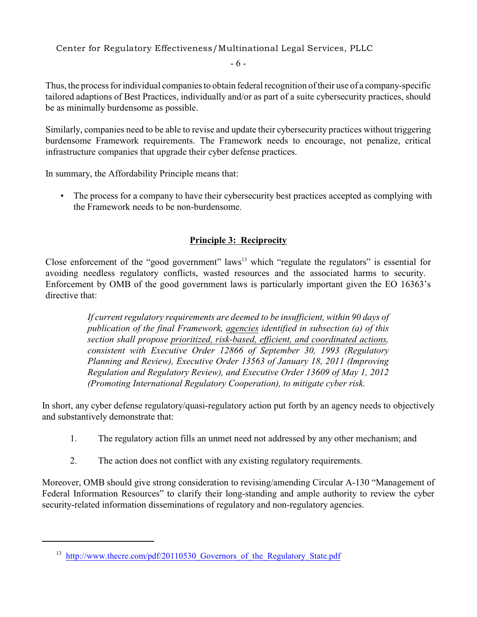$-6-$ 

Thus, the process for individual companies to obtain federal recognition of their use of a company-specific tailored adaptions of Best Practices, individually and/or as part of a suite cybersecurity practices, should be as minimally burdensome as possible.

Similarly, companies need to be able to revise and update their cybersecurity practices without triggering burdensome Framework requirements. The Framework needs to encourage, not penalize, critical infrastructure companies that upgrade their cyber defense practices.

In summary, the Affordability Principle means that:

• The process for a company to have their cybersecurity best practices accepted as complying with the Framework needs to be non-burdensome.

## **Principle 3: Reciprocity**

Close enforcement of the "good government" laws<sup>13</sup> which "regulate the regulators" is essential for avoiding needless regulatory conflicts, wasted resources and the associated harms to security. Enforcement by OMB of the good government laws is particularly important given the EO 16363's directive that:

> *If current regulatory requirements are deemed to be insufficient, within 90 days of publication of the final Framework, agencies identified in subsection (a) of this section shall propose prioritized, risk-based, efficient, and coordinated actions, consistent with Executive Order 12866 of September 30, 1993 (Regulatory Planning and Review), Executive Order 13563 of January 18, 2011 (Improving Regulation and Regulatory Review), and Executive Order 13609 of May 1, 2012 (Promoting International Regulatory Cooperation), to mitigate cyber risk.*

 In short, any cyber defense regulatory/quasi-regulatory action put forth by an agency needs to objectively and substantively demonstrate that:

- 1. The regulatory action fills an unmet need not addressed by any other mechanism; and
- 2. The action does not conflict with any existing regulatory requirements.

 Moreover, OMB should give strong consideration to revising/amending Circular A-130 "Management of Federal Information Resources" to clarify their long-standing and ample authority to review the cyber security-related information disseminations of regulatory and non-regulatory agencies.

<sup>&</sup>lt;sup>13</sup> http://www.thecre.com/pdf/20110530 Governors of the Regulatory State.pdf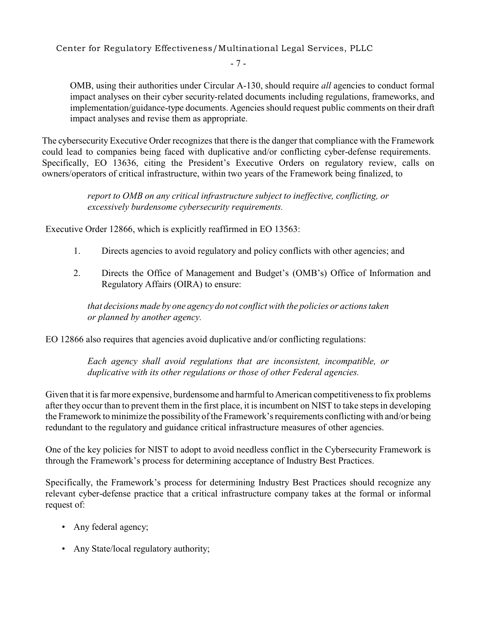$-7-$ 

OMB, using their authorities under Circular A-130, should require *all* agencies to conduct formal impact analyses on their cyber security-related documents including regulations, frameworks, and implementation/guidance-type documents. Agencies should request public comments on their draft impact analyses and revise them as appropriate.

The cybersecurity Executive Order recognizes that there is the danger that compliance with the Framework could lead to companies being faced with duplicative and/or conflicting cyber-defense requirements. Specifically, EO 13636, citing the President's Executive Orders on regulatory review, calls on owners/operators of critical infrastructure, within two years of the Framework being finalized, to

> *report to OMB on any critical infrastructure subject to ineffective, conflicting, or excessively burdensome cybersecurity requirements.*

Executive Order 12866, which is explicitly reaffirmed in EO 13563:

- 1. Directs agencies to avoid regulatory and policy conflicts with other agencies; and
- 2. Directs the Office of Management and Budget's (OMB's) Office of Information and Regulatory Affairs (OIRA) to ensure:

*that decisions made by one agency do not conflict with the policies or actions taken or planned by another agency.* 

EO 12866 also requires that agencies avoid duplicative and/or conflicting regulations:

*Each agency shall avoid regulations that are inconsistent, incompatible, or duplicative with its other regulations or those of other Federal agencies.* 

 after they occur than to prevent them in the first place, it is incumbent on NIST to take steps in developing Given that it is far more expensive, burdensome and harmful to American competitiveness to fix problems the Framework to minimize the possibility of the Framework's requirements conflicting with and/or being redundant to the regulatory and guidance critical infrastructure measures of other agencies.

One of the key policies for NIST to adopt to avoid needless conflict in the Cybersecurity Framework is through the Framework's process for determining acceptance of Industry Best Practices.

Specifically, the Framework's process for determining Industry Best Practices should recognize any relevant cyber-defense practice that a critical infrastructure company takes at the formal or informal request of:

- Any federal agency;
- Any State/local regulatory authority;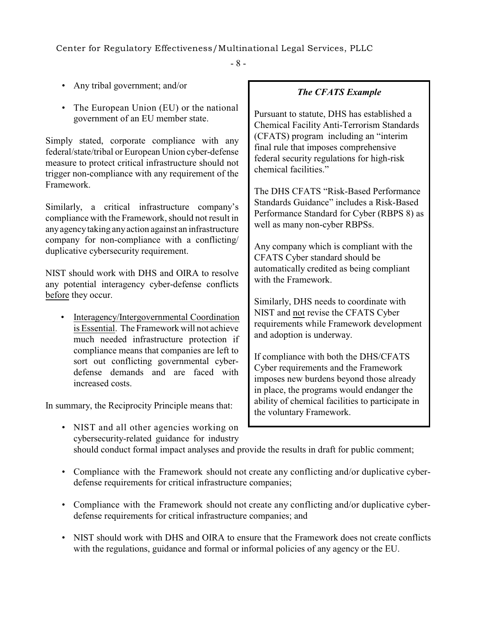$- 8 -$ 

- Any tribal government; and/or
- The European Union (EU) or the national government of an EU member state.

Simply stated, corporate compliance with any federal/state/tribal or European Union cyber-defense measure to protect critical infrastructure should not trigger non-compliance with any requirement of the Framework.

 anyagencytaking anyaction against an infrastructure Similarly, a critical infrastructure company's compliance with the Framework, should not result in company for non-compliance with a conflicting/ duplicative cybersecurity requirement.

NIST should work with DHS and OIRA to resolve any potential interagency cyber-defense conflicts before they occur.

• Interagency/Intergovernmental Coordination is Essential. The Framework will not achieve much needed infrastructure protection if compliance means that companies are left to sort out conflicting governmental cyberdefense demands and are faced with increased costs.

In summary, the Reciprocity Principle means that:

• NIST and all other agencies working on cybersecurity-related guidance for industry

#### *The CFATS Example*

Pursuant to statute, DHS has established a Chemical Facility Anti-Terrorism Standards (CFATS) program including an "interim final rule that imposes comprehensive federal security regulations for high-risk chemical facilities."

The DHS CFATS "Risk-Based Performance Standards Guidance" includes a Risk-Based Performance Standard for Cyber (RBPS 8) as well as many non-cyber RBPSs.

Any company which is compliant with the CFATS Cyber standard should be automatically credited as being compliant with the Framework.

Similarly, DHS needs to coordinate with NIST and not revise the CFATS Cyber requirements while Framework development and adoption is underway.

If compliance with both the DHS/CFATS Cyber requirements and the Framework imposes new burdens beyond those already in place, the programs would endanger the ability of chemical facilities to participate in the voluntary Framework.

- should conduct formal impact analyses and provide the results in draft for public comment;
- Compliance with the Framework should not create any conflicting and/or duplicative cyberdefense requirements for critical infrastructure companies;
- Compliance with the Framework should not create any conflicting and/or duplicative cyberdefense requirements for critical infrastructure companies; and
- NIST should work with DHS and OIRA to ensure that the Framework does not create conflicts with the regulations, guidance and formal or informal policies of any agency or the EU.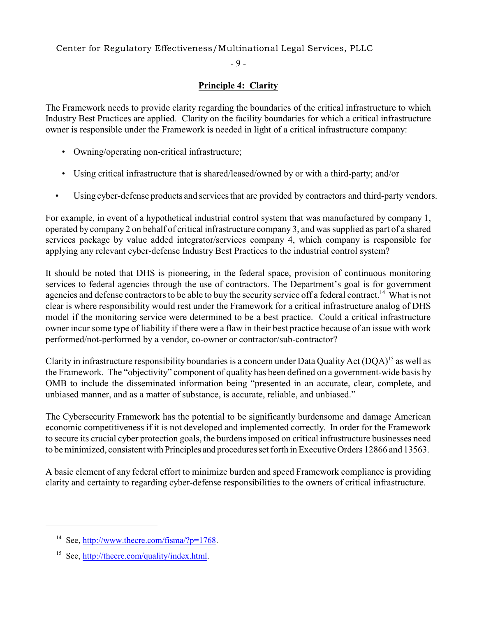$-9 -$ 

## **Principle 4: Clarity**

 The Framework needs to provide clarity regarding the boundaries of the critical infrastructure to which Industry Best Practices are applied. Clarity on the facility boundaries for which a critical infrastructure owner is responsible under the Framework is needed in light of a critical infrastructure company:

- Owning/operating non-critical infrastructure;
- Using critical infrastructure that is shared/leased/owned by or with a third-party; and/or
- Using cyber-defense products and services that are provided by contractors and third-party vendors.

 operated by company 2 on behalf of critical infrastructure company 3, and was supplied as part of a shared services package by value added integrator/services company 4, which company is responsible for For example, in event of a hypothetical industrial control system that was manufactured by company 1, applying any relevant cyber-defense Industry Best Practices to the industrial control system?

agencies and defense contractors to be able to buy the security service off a federal contract.<sup>14</sup> What is not owner incur some type of liability if there were a flaw in their best practice because of an issue with work It should be noted that DHS is pioneering, in the federal space, provision of continuous monitoring services to federal agencies through the use of contractors. The Department's goal is for government clear is where responsibility would rest under the Framework for a critical infrastructure analog of DHS model if the monitoring service were determined to be a best practice. Could a critical infrastructure performed/not-performed by a vendor, co-owner or contractor/sub-contractor?

Clarity in infrastructure responsibility boundaries is a concern under Data Quality Act (DQA)<sup>15</sup> as well as the Framework. The "objectivity" component of quality has been defined on a government-wide basis by OMB to include the disseminated information being "presented in an accurate, clear, complete, and unbiased manner, and as a matter of substance, is accurate, reliable, and unbiased."

 economic competitiveness if it is not developed and implemented correctly. In order for the Framework to be minimized, consistent with Principles and procedures set forth in Executive Orders 12866 and 13563. The Cybersecurity Framework has the potential to be significantly burdensome and damage American to secure its crucial cyber protection goals, the burdens imposed on critical infrastructure businesses need

A basic element of any federal effort to minimize burden and speed Framework compliance is providing clarity and certainty to regarding cyber-defense responsibilities to the owners of critical infrastructure.

<sup>&</sup>lt;sup>14</sup> See,<http://www.thecre.com/fisma/?p=1768>.

<sup>&</sup>lt;sup>15</sup> See,<http://thecre.com/quality/index.html>.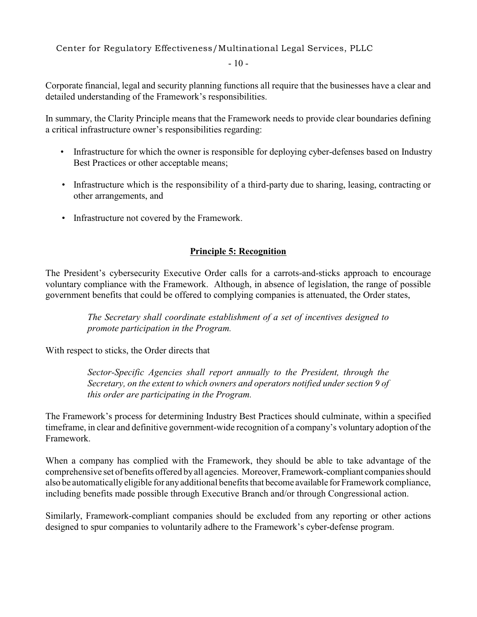$-10-$ 

 Corporate financial, legal and security planning functions all require that the businesses have a clear and detailed understanding of the Framework's responsibilities.

In summary, the Clarity Principle means that the Framework needs to provide clear boundaries defining a critical infrastructure owner's responsibilities regarding:

- Infrastructure for which the owner is responsible for deploying cyber-defenses based on Industry Best Practices or other acceptable means;
- • Infrastructure which is the responsibility of a third-party due to sharing, leasing, contracting or other arrangements, and
- • Infrastructure not covered by the Framework.

## **Principle 5: Recognition**

 voluntary compliance with the Framework. Although, in absence of legislation, the range of possible The President's cybersecurity Executive Order calls for a carrots-and-sticks approach to encourage government benefits that could be offered to complying companies is attenuated, the Order states,

> *The Secretary shall coordinate establishment of a set of incentives designed to promote participation in the Program.*

With respect to sticks, the Order directs that

*Sector-Specific Agencies shall report annually to the President, through the Secretary, on the extent to which owners and operators notified under section 9 of this order are participating in the Program.* 

The Framework's process for determining Industry Best Practices should culminate, within a specified timeframe, in clear and definitive government-wide recognition of a company's voluntary adoption of the Framework.

 comprehensive set of benefits offered byall agencies. Moreover, Framework-compliant companies should also be automaticallyeligible for anyadditional benefits that become available for Framework compliance, When a company has complied with the Framework, they should be able to take advantage of the including benefits made possible through Executive Branch and/or through Congressional action.

Similarly, Framework-compliant companies should be excluded from any reporting or other actions designed to spur companies to voluntarily adhere to the Framework's cyber-defense program.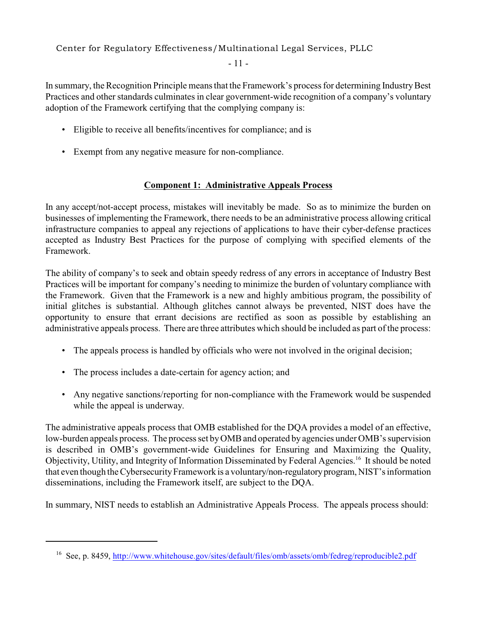$-11-$ 

In summary, the Recognition Principle means that the Framework's process for determining Industry Best Practices and other standards culminates in clear government-wide recognition of a company's voluntary adoption of the Framework certifying that the complying company is:

- Eligible to receive all benefits/incentives for compliance; and is
- Exempt from any negative measure for non-compliance.

## **Component 1: Administrative Appeals Process**

 In any accept/not-accept process, mistakes will inevitably be made. So as to minimize the burden on businesses of implementing the Framework, there needs to be an administrative process allowing critical infrastructure companies to appeal any rejections of applications to have their cyber-defense practices accepted as Industry Best Practices for the purpose of complying with specified elements of the Framework.

 Practices will be important for company's needing to minimize the burden of voluntary compliance with the Framework. Given that the Framework is a new and highly ambitious program, the possibility of initial glitches is substantial. Although glitches cannot always be prevented, NIST does have the opportunity to ensure that errant decisions are rectified as soon as possible by establishing an administrative appeals process. There are three attributes which should be included as part of the process: The ability of company's to seek and obtain speedy redress of any errors in acceptance of Industry Best

- The appeals process is handled by officials who were not involved in the original decision;
- The process includes a date-certain for agency action; and
- Any negative sanctions/reporting for non-compliance with the Framework would be suspended while the appeal is underway.

Objectivity, Utility, and Integrity of Information Disseminated by Federal Agencies.<sup>16</sup> It should be noted The administrative appeals process that OMB established for the DQA provides a model of an effective, low-burden appeals process. The process set by OMB and operated by agencies under OMB's supervision is described in OMB's government-wide Guidelines for Ensuring and Maximizing the Quality, that even though the Cybersecurity Framework is a voluntary/non-regulatory program, NIST's information disseminations, including the Framework itself, are subject to the DQA.

In summary, NIST needs to establish an Administrative Appeals Process. The appeals process should:

<sup>16</sup> See, p. 8459,<http://www.whitehouse.gov/sites/default/files/omb/assets/omb/fedreg/reproducible2.pdf>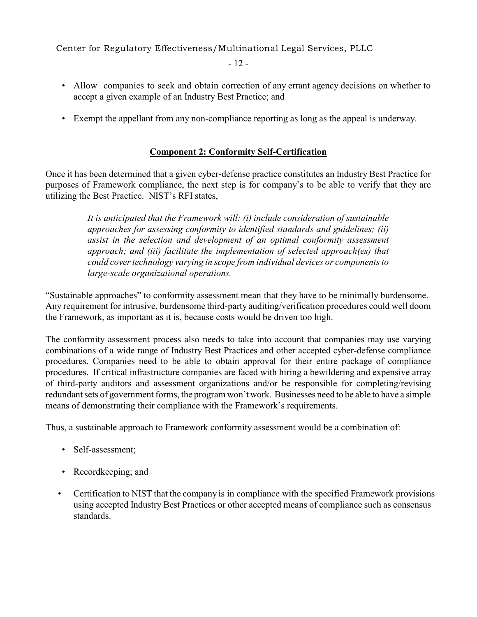$-12-$ 

- Allow companies to seek and obtain correction of any errant agency decisions on whether to accept a given example of an Industry Best Practice; and
- Exempt the appellant from any non-compliance reporting as long as the appeal is underway.

## **Component 2: Conformity Self-Certification**

 purposes of Framework compliance, the next step is for company's to be able to verify that they are Once it has been determined that a given cyber-defense practice constitutes an Industry Best Practice for utilizing the Best Practice. NIST's RFI states,

> *It is anticipated that the Framework will: (i) include consideration of sustainable approaches for assessing conformity to identified standards and guidelines; (ii) assist in the selection and development of an optimal conformity assessment approach; and (iii) facilitate the implementation of selected approach(es) that could cover technology varying in scope from individual devices or components to large-scale organizational operations.*

 "Sustainable approaches" to conformity assessment mean that they have to be minimally burdensome. Any requirement for intrusive, burdensome third-party auditing/verification procedures could well doom the Framework, as important as it is, because costs would be driven too high.

 The conformity assessment process also needs to take into account that companies may use varying combinations of a wide range of Industry Best Practices and other accepted cyber-defense compliance procedures. Companies need to be able to obtain approval for their entire package of compliance procedures. If critical infrastructure companies are faced with hiring a bewildering and expensive array of third-party auditors and assessment organizations and/or be responsible for completing/revising redundant sets of government forms, the program won't work. Businesses need to be able to have a simple means of demonstrating their compliance with the Framework's requirements.

Thus, a sustainable approach to Framework conformity assessment would be a combination of:

- Self-assessment;
- Recordkeeping; and
- Certification to NIST that the company is in compliance with the specified Framework provisions using accepted Industry Best Practices or other accepted means of compliance such as consensus standards.